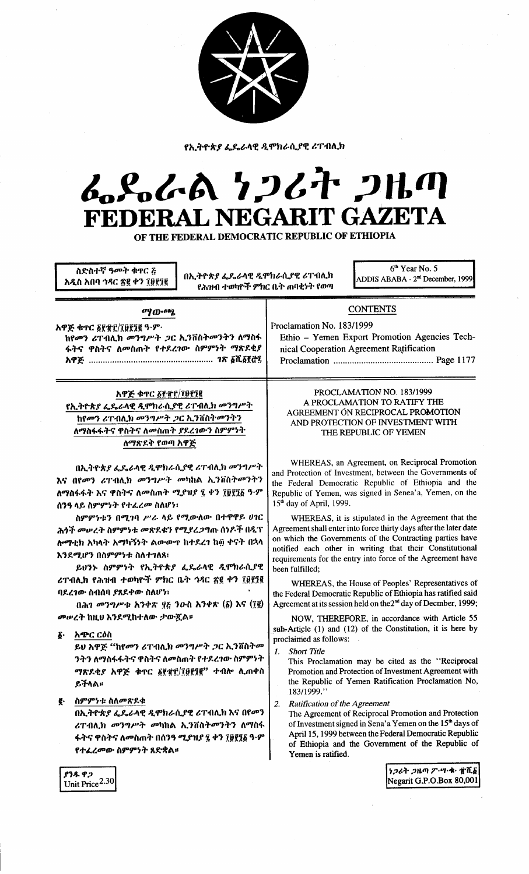

የኢትዮጵያ ፌዴራላዊ ዲሞክራሲያዊ ሪፐብሊክ

# んとんめ りつびれ つルの FEDERAL NEGARIT GAZETA

OF THE FEDERAL DEMOCRATIC REPUBLIC OF ETHIOPIA

ስድስተኛ ዓመት ቁዋር ፩ አዲስ አበባ ኅዳር ፳፪ ቀን ፲፱፻፺፪

በኢትዮጵያ ፌዴራላዊ ዲሞክራሲያዊ ሪፐብሊክ የሕዝብ ተወካዮች ምክር ቤት ጠባቂነት የወጣ

6<sup>th</sup> Year No. 5 ADDIS ABABA - 2<sup>nd</sup> December, 1999

## **CONTENTS**

nical Cooperation Agreement Ratification

Ethio - Yemen Export Promotion Agencies Tech-

Proclamation No. 183/1999 አዋጅ ቁጥር ፩፻፹፫/፲፱፻፺፪ ዓ.ም. ከየመን ሪፐብሊክ መንግሥት ጋር ኢንቨስትመንትን ለማስፋ <u>ፋትና ዋስትና ለመስጠት የተደረገው ስምምነት ማጽደቂያ</u> 

ማውጫ

### አዋጅ ቀተር ፩፻፹፫/፲፱፻፺፪

የኢትዮጵያ ፌዴራላዊ ዲሞክራሲያዊ ሪፐብሊክ መንግሥት <u>ከየመን ሪፐብሊክ መንግሥት ጋር ኢንቨስትመንትን</u> ለማስፋፋትና ዋስትና ለመስጠት ያደረገውን ስምምነት ለማጽደቅ የወጣ አዋጅ

በኢትዮጵያ ፌዴራላዊ ዲሞክራሲያዊ ሪፐብሊክ መንግሥት እና በየመን ሪፐብሊክ መንግሥት መካከል ኢንቨስትመንትን ለማስፋፋት እና ዋስትና ለመስጠት ሚያዝያ ፯ ቀን ፲፱፻፺፩ ዓ.ም ሰንዓ ላይ ስምምንት የተፈረመ ስለሆነ፣

ስምምነቱን በሚገባ ሥራ ላይ የሚውለው በተዋዋይ ሀገር ሕጎች መሠረት ስምምነቱ መጽደቁን የሚያረጋግጡ ሰነዶች በዲፕ ሎማቲክ አካላት አማካኝንት ልውውዋ ከተደረን ከ፴ ቀናት በኋላ እንደሚሆን በስምምንቱ ስለተገለጸ፤

ይህንኑ ስምምንት የኢትዮጵያ ፌዴራላዊ ዲሞክራሲያዊ ሪፐብሊክ የሕዝብ ተወካዮች ምክር ቤት ኅዳር ፳፪ ቀን ፲፱፻፺፪ ባደረገው ስብሰባ ያጸደቀው ስለሆነ፣

በሕገ መንግሥቱ አንቀጽ ፶፩ ንዑስ አንቀጽ  $(\underline{\delta})$  እና  $(\underline{7}\underline{8})$ *መሠረት* ከዚህ እንደሚከተለው ታውጇል።

**§∙ አጭር ርዕስ** 

ይህ አዋጅ "ከየመን ሪፐብሊክ መንግሥት ጋር ኢንቨስትመ ንትን ለማስፋፋትና ዋስትና ለመስጠት የተደረገው ስምምነት ማጽደቂያ አዋጅ ቁጥር ፩፻፹፫/፲፱፻፺፪" ተብሎ ሊጠቀስ ይችላል።

#### ስምምንቱ ስለመጽደቁ ę.

በኢትዮጵያ ፌዴራላዊ ዲሞክራሲያዊ ሪፐብሊክ እና በየመን ሪፐብሊክ መንግሥት መካከል ኢንቨስትመንትን ለማስፋ ፋትና ዋስትና ለመስጠት በሰንዓ ሚያዝያ ፯ ቀን ፲፱፻፺፩ ዓ·ም የተፈረመው ስምምነት ጸድቋል።

PROCLAMATION NO. 183/1999 A PROCLAMATION TO RATIFY THE AGREEMENT ON RECIPROCAL PROMOTION AND PROTECTION OF INVESTMENT WITH THE REPUBLIC OF YEMEN

WHEREAS, an Agreement, on Reciprocal Promotion and Protection of Investment, between the Governments of the Federal Democratic Republic of Ethiopia and the Republic of Yemen, was signed in Senea'a, Yemen, on the 15<sup>th</sup> day of April, 1999.

WHEREAS, it is stipulated in the Agreement that the Agreement shall enter into force thirty days after the later date on which the Governments of the Contracting parties have notified each other in writing that their Constitutional requirements for the entry into force of the Agreement have been fulfilled;

WHEREAS, the House of Peoples' Representatives of the Federal Democratic Republic of Ethiopia has ratified said Agreement at its session held on the 2<sup>nd</sup> day of Decmber, 1999;

NOW, THEREFORE, in accordance with Article 55 sub-Article (1) and (12) of the Constitution, it is here by proclaimed as follows:

**Short Title** 1.

> This Proclamation may be cited as the "Reciprocal Promotion and Protection of Investment Agreement with the Republic of Yemen Ratification Proclamation No, 183/1999."

2. Ratification of the Agreement

The Agreement of Reciprocal Promotion and Protection of Investment signed in Sena'a Yemen on the 15<sup>th</sup> days of April 15, 1999 between the Federal Democratic Republic of Ethiopia and the Government of the Republic of Yemen is ratified.

> ነጋሪት ጋዜጣ ፖ…ሣ・ቁ・ ぜሺ፩ Negarit G.P.O.Box 80,001

**የንዱ ዋጋ** Unit Price<sup>2.30</sup>